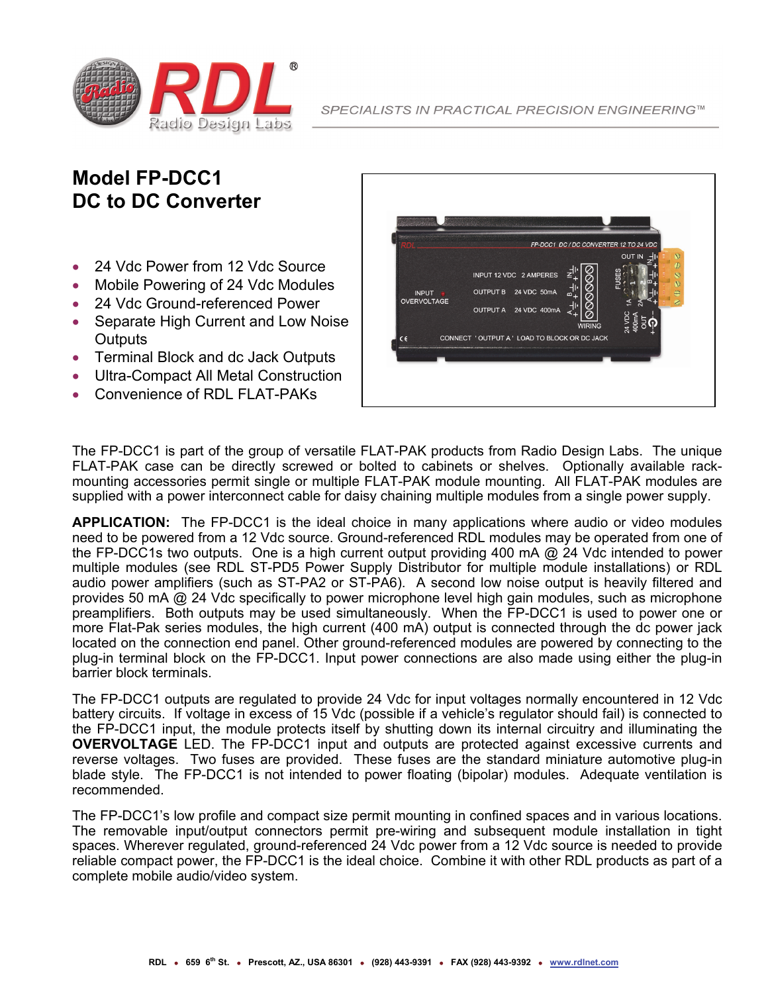

## **Model FP-DCC1 DC to DC Converter**

- 24 Vdc Power from 12 Vdc Source
- Mobile Powering of 24 Vdc Modules
- 24 Vdc Ground-referenced Power
- Separate High Current and Low Noise **Outputs**
- Terminal Block and dc Jack Outputs
- Ultra-Compact All Metal Construction
- Convenience of RDL FLAT-PAKs



The FP-DCC1 is part of the group of versatile FLAT-PAK products from Radio Design Labs. The unique FLAT-PAK case can be directly screwed or bolted to cabinets or shelves. Optionally available rackmounting accessories permit single or multiple FLAT-PAK module mounting. All FLAT-PAK modules are supplied with a power interconnect cable for daisy chaining multiple modules from a single power supply.

**APPLICATION:** The FP-DCC1 is the ideal choice in many applications where audio or video modules need to be powered from a 12 Vdc source. Ground-referenced RDL modules may be operated from one of the FP-DCC1s two outputs. One is a high current output providing 400 mA @ 24 Vdc intended to power multiple modules (see RDL ST-PD5 Power Supply Distributor for multiple module installations) or RDL audio power amplifiers (such as ST-PA2 or ST-PA6). A second low noise output is heavily filtered and provides 50 mA @ 24 Vdc specifically to power microphone level high gain modules, such as microphone preamplifiers. Both outputs may be used simultaneously. When the FP-DCC1 is used to power one or more Flat-Pak series modules, the high current (400 mA) output is connected through the dc power jack located on the connection end panel. Other ground-referenced modules are powered by connecting to the plug-in terminal block on the FP-DCC1. Input power connections are also made using either the plug-in barrier block terminals.

The FP-DCC1 outputs are regulated to provide 24 Vdc for input voltages normally encountered in 12 Vdc battery circuits. If voltage in excess of 15 Vdc (possible if a vehicle's regulator should fail) is connected to the FP-DCC1 input, the module protects itself by shutting down its internal circuitry and illuminating the **OVERVOLTAGE** LED. The FP-DCC1 input and outputs are protected against excessive currents and reverse voltages. Two fuses are provided. These fuses are the standard miniature automotive plug-in blade style. The FP-DCC1 is not intended to power floating (bipolar) modules. Adequate ventilation is recommended.

The FP-DCC1's low profile and compact size permit mounting in confined spaces and in various locations. The removable input/output connectors permit pre-wiring and subsequent module installation in tight spaces. Wherever regulated, ground-referenced 24 Vdc power from a 12 Vdc source is needed to provide reliable compact power, the FP-DCC1 is the ideal choice. Combine it with other RDL products as part of a complete mobile audio/video system.